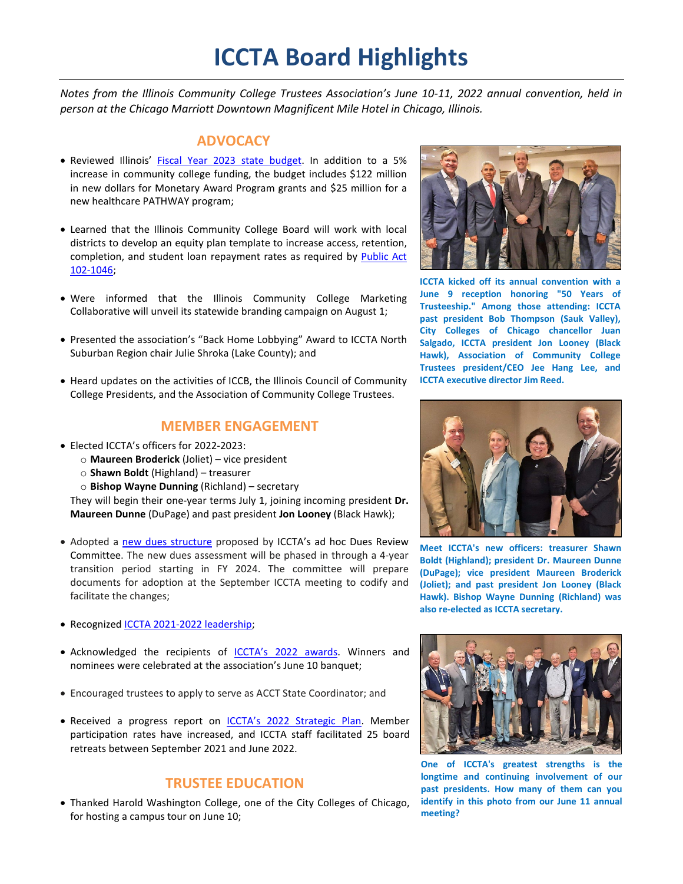# **ICCTA Board Highlights**

*Notes from the Illinois Community College Trustees Association's June 10-11, 2022 annual convention, held in person at the Chicago Marriott Downtown Magnificent Mile Hotel in Chicago, Illinois.*

## **ADVOCACY**

- Reviewed Illinois' [Fiscal Year 2023 state budget.](https://iccta.memberclicks.net/assets/docs/ICCTAGRendofsession2022.pdf) In addition to a 5% increase in community college funding, the budget includes \$122 million in new dollars for Monetary Award Program grants and \$25 million for a new healthcare PATHWAY program;
- Learned that the Illinois Community College Board will work with local districts to develop an equity plan template to increase access, retention, completion, and student loan repayment rates as required by Public Act [102-1046;](https://www.ilga.gov/legislation/billstatus.asp?DocNum=5464&GAID=16&GA=102&DocTypeID=HB&LegID=139988&SessionID=110)
- Were informed that the Illinois Community College Marketing Collaborative will unveil its statewide branding campaign on August 1;
- Presented the association's "Back Home Lobbying" Award to ICCTA North Suburban Region chair Julie Shroka (Lake County); and
- Heard updates on the activities of ICCB, the Illinois Council of Community College Presidents, and the Association of Community College Trustees.

## **MEMBER ENGAGEMENT**

- Elected ICCTA's officers for 2022-2023:
	- o **Maureen Broderick** (Joliet) vice president
	- o **Shawn Boldt** (Highland) treasurer
	- o **Bishop Wayne Dunning** (Richland) secretary

They will begin their one-year terms July 1, joining incoming president **Dr. Maureen Dunne** (DuPage) and past president **Jon Looney** (Black Hawk);

- Adopted a new dues [structure](https://iccta.memberclicks.net/assets/docs/DuesCommitteereport422.pdf) proposed by ICCTA's ad hoc Dues Review Committee. The new dues assessment will be phased in through a 4-year transition period starting in FY 2024. The committee will prepare documents for adoption at the September ICCTA meeting to codify and facilitate the changes;
- Recognize[d ICCTA 2021-2022 leadership;](https://www.communitycolleges.org/2021-2022-leadership)
- Acknowledged the recipients of [ICCTA's 2022 awards.](https://iccta.memberclicks.net/assets/docs/2022winnerslistbyaward.pdf) Winners and nominees were celebrated at the association's June 10 banquet;
- Encouraged trustees to apply to serve as ACCT State Coordinator; and
- Received a progress report on [ICCTA's 2022 Strategic Plan.](https://iccta.memberclicks.net/assets/docs/2022ICCTAstrategicplan.pdf) Member participation rates have increased, and ICCTA staff facilitated 25 board retreats between September 2021 and June 2022.

## **TRUSTEE EDUCATION**

• Thanked Harold Washington College, one of the City Colleges of Chicago, for hosting a campus tour on June 10;



**ICCTA kicked off its annual convention with a June 9 reception honoring "50 Years of Trusteeship." Among those attending: ICCTA past president Bob [Thompson](https://www.facebook.com/bob.thompson.5011516?__cft__%5b0%5d=AZWgrMTyOd8DmAKqp4CzcEo5SIIGylVjUmTK44-TOWYevrI47g6mw8nmxQrR4QDXXio30LL6u7viUIZ9_qXUDPg5NVzoaTB0uaqGySgXXClDYf2MIYyt0I-aHMkUtHwkptjctHCcHs58rn00VjAVt4d2VtaTbfcFcRcLs3NJQUWxuzlAXtPooWT1TwlM8SPTBiFI-KAjtUd-V_j9mqy-x91-&__tn__=-%5dK-R) (Sauk Valley), City Colleges of Chicago chancellor Juan Salgado, ICCTA president Jon Looney (Black Hawk), [Association](https://www.facebook.com/CCTrustees/?__cft__%5b0%5d=AZWgrMTyOd8DmAKqp4CzcEo5SIIGylVjUmTK44-TOWYevrI47g6mw8nmxQrR4QDXXio30LL6u7viUIZ9_qXUDPg5NVzoaTB0uaqGySgXXClDYf2MIYyt0I-aHMkUtHwkptjctHCcHs58rn00VjAVt4d2VtaTbfcFcRcLs3NJQUWxuzlAXtPooWT1TwlM8SPTBiFI-KAjtUd-V_j9mqy-x91-&__tn__=kK-R) of Community College [Trustees](https://www.facebook.com/CCTrustees/?__cft__%5b0%5d=AZWgrMTyOd8DmAKqp4CzcEo5SIIGylVjUmTK44-TOWYevrI47g6mw8nmxQrR4QDXXio30LL6u7viUIZ9_qXUDPg5NVzoaTB0uaqGySgXXClDYf2MIYyt0I-aHMkUtHwkptjctHCcHs58rn00VjAVt4d2VtaTbfcFcRcLs3NJQUWxuzlAXtPooWT1TwlM8SPTBiFI-KAjtUd-V_j9mqy-x91-&__tn__=kK-R) president/CEO Jee Hang Lee, and ICCTA executive director Jim Reed.**



**Meet ICCTA's new officers: treasurer Shawn Boldt (Highland); president Dr. Maureen Dunne (DuPage); vice president Maureen Broderick (Joliet); and past president Jon Looney (Black Hawk). Bishop Wayne Dunning (Richland) was also re-elected as ICCTA secretary.**



**One of ICCTA's greatest strengths is the longtime and continuing involvement of our past presidents. How many of them can you identify in this photo from our June 11 annual meeting?**